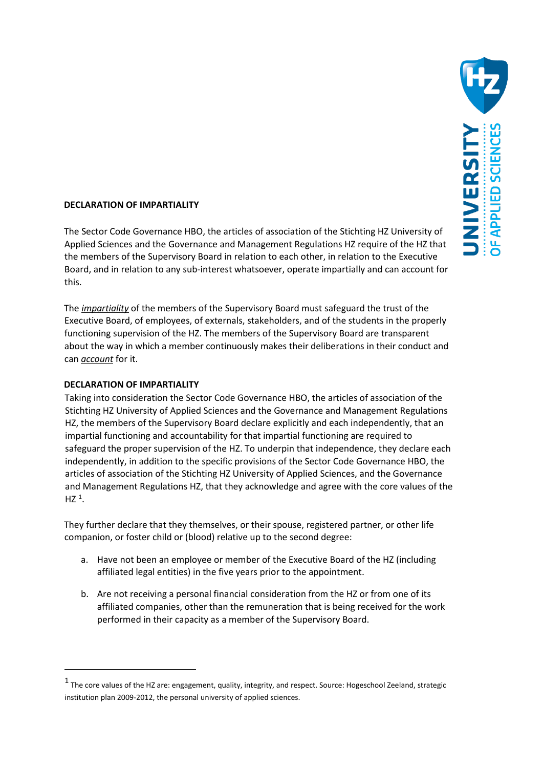

## **DECLARATION OF IMPARTIALITY**

The Sector Code Governance HBO, the articles of association of the Stichting HZ University of Applied Sciences and the Governance and Management Regulations HZ require of the HZ that the members of the Supervisory Board in relation to each other, in relation to the Executive Board, and in relation to any sub-interest whatsoever, operate impartially and can account for this.

The *impartiality* of the members of the Supervisory Board must safeguard the trust of the Executive Board, of employees, of externals, stakeholders, and of the students in the properly functioning supervision of the HZ. The members of the Supervisory Board are transparent about the way in which a member continuously makes their deliberations in their conduct and can *account* for it.

## **DECLARATION OF IMPARTIALITY**

<u>.</u>

Taking into consideration the Sector Code Governance HBO, the articles of association of the Stichting HZ University of Applied Sciences and the Governance and Management Regulations HZ, the members of the Supervisory Board declare explicitly and each independently, that an impartial functioning and accountability for that impartial functioning are required to safeguard the proper supervision of the HZ. To underpin that independence, they declare each independently, in addition to the specific provisions of the Sector Code Governance HBO, the articles of association of the Stichting HZ University of Applied Sciences, and the Governance and Management Regulations HZ, that they acknowledge and agree with the core values of the  $HZ$ <sup>[1](#page-0-0)</sup>.

They further declare that they themselves, or their spouse, registered partner, or other life companion, or foster child or (blood) relative up to the second degree:

- a. Have not been an employee or member of the Executive Board of the HZ (including affiliated legal entities) in the five years prior to the appointment.
- b. Are not receiving a personal financial consideration from the HZ or from one of its affiliated companies, other than the remuneration that is being received for the work performed in their capacity as a member of the Supervisory Board.

<span id="page-0-0"></span> $<sup>1</sup>$  The core values of the HZ are: engagement, quality, integrity, and respect. Source: Hogeschool Zeeland, strategic</sup> institution plan 2009-2012, the personal university of applied sciences.